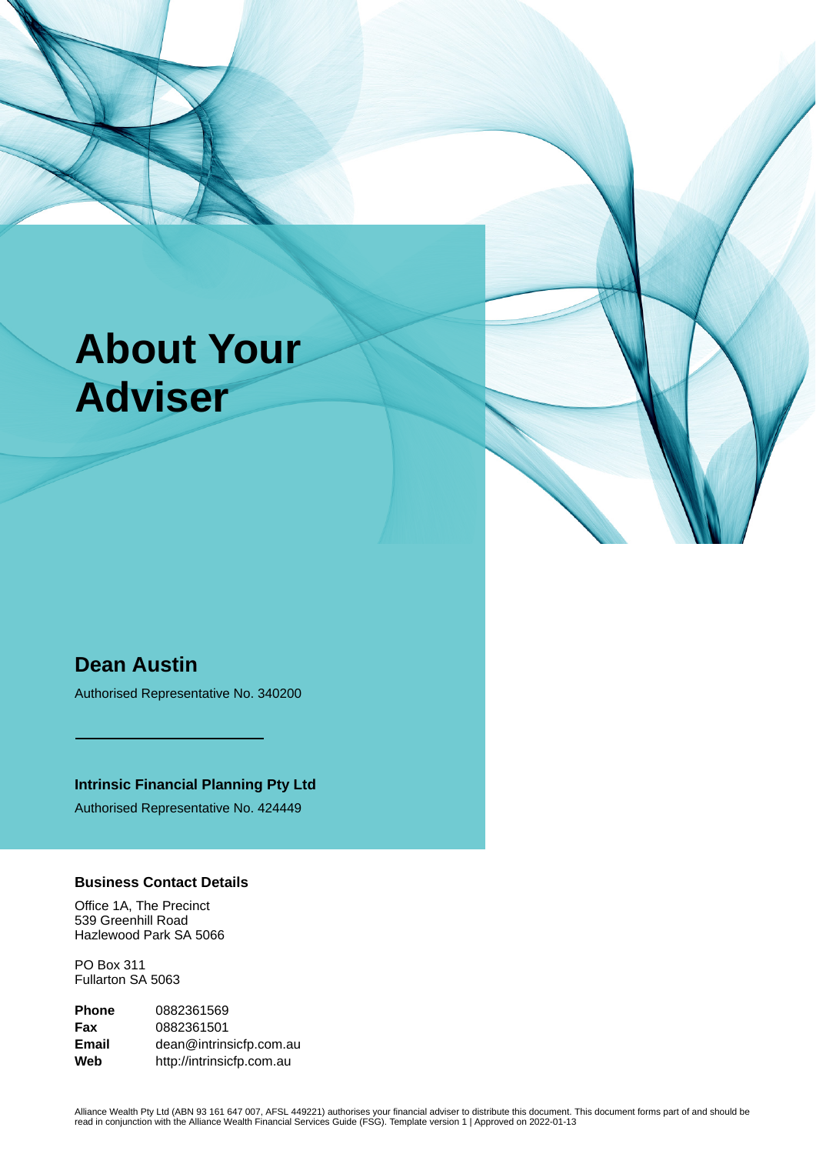# **About Your Adviser**

# **Dean Austin**

Authorised Representative No. 340200

**Intrinsic Financial Planning Pty Ltd**

Authorised Representative No. 424449

#### **Business Contact Details**

Office 1A, The Precinct 539 Greenhill Road Hazlewood Park SA 5066

PO Box 311 Fullarton SA 5063

**Phone** 0882361569 **Fax** 0882361501 **Email** dean@intrinsicfp.com.au **Web** http://intrinsicfp.com.au